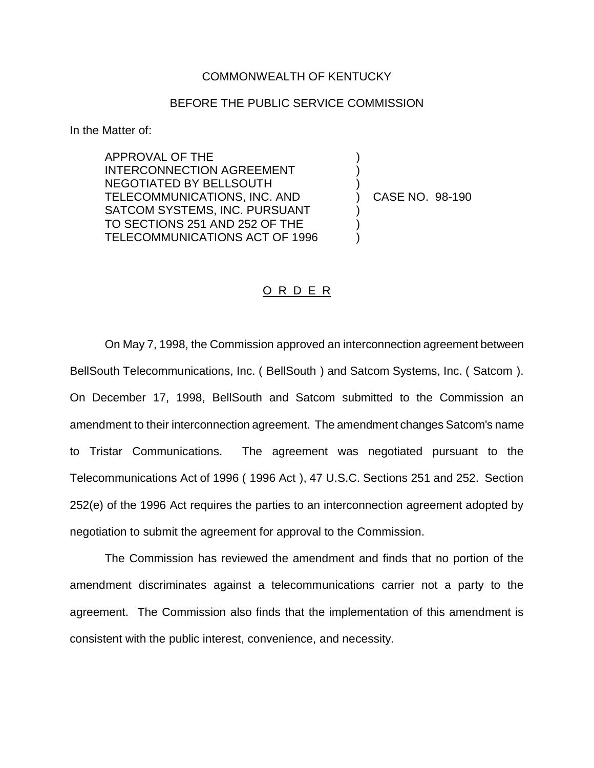## COMMONWEALTH OF KENTUCKY

## BEFORE THE PUBLIC SERVICE COMMISSION

) ) )

) ) )

In the Matter of:

APPROVAL OF THE INTERCONNECTION AGREEMENT NEGOTIATED BY BELLSOUTH TELECOMMUNICATIONS, INC. AND SATCOM SYSTEMS, INC. PURSUANT TO SECTIONS 251 AND 252 OF THE TELECOMMUNICATIONS ACT OF 1996

) CASE NO. 98-190

## O R D E R

On May 7, 1998, the Commission approved an interconnection agreement between BellSouth Telecommunications, Inc. ( BellSouth ) and Satcom Systems, Inc. ( Satcom ). On December 17, 1998, BellSouth and Satcom submitted to the Commission an amendment to their interconnection agreement. The amendment changes Satcom's name to Tristar Communications. The agreement was negotiated pursuant to the Telecommunications Act of 1996 ( 1996 Act ), 47 U.S.C. Sections 251 and 252. Section 252(e) of the 1996 Act requires the parties to an interconnection agreement adopted by negotiation to submit the agreement for approval to the Commission.

The Commission has reviewed the amendment and finds that no portion of the amendment discriminates against a telecommunications carrier not a party to the agreement. The Commission also finds that the implementation of this amendment is consistent with the public interest, convenience, and necessity.